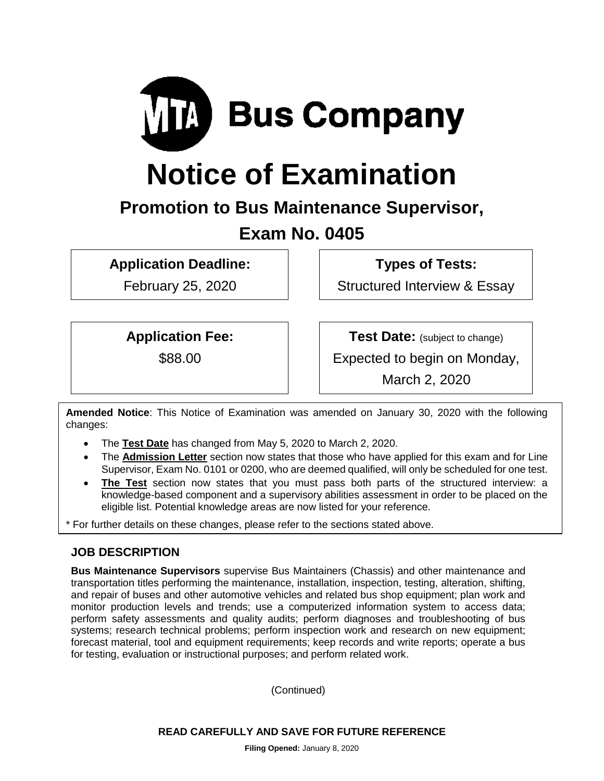

# **Notice of Examination**

# **Promotion to Bus Maintenance Supervisor,**

# **Exam No. 0405**

**Application Deadline:**

February 25, 2020

**Types of Tests:** 

Structured Interview & Essay

**Application Fee:**

\$88.00

**Test Date:** (subject to change)

Expected to begin on Monday,

March 2, 2020

**Amended Notice**: This Notice of Examination was amended on January 30, 2020 with the following changes:

- The **Test Date** has changed from May 5, 2020 to March 2, 2020.
- The **Admission Letter** section now states that those who have applied for this exam and for Line Supervisor, Exam No. 0101 or 0200, who are deemed qualified, will only be scheduled for one test.
- **The Test** section now states that you must pass both parts of the structured interview: a knowledge-based component and a supervisory abilities assessment in order to be placed on the eligible list. Potential knowledge areas are now listed for your reference.

\* For further details on these changes, please refer to the sections stated above.

## **JOB DESCRIPTION**

**Bus Maintenance Supervisors** supervise Bus Maintainers (Chassis) and other maintenance and transportation titles performing the maintenance, installation, inspection, testing, alteration, shifting, and repair of buses and other automotive vehicles and related bus shop equipment; plan work and monitor production levels and trends; use a computerized information system to access data; perform safety assessments and quality audits; perform diagnoses and troubleshooting of bus systems; research technical problems; perform inspection work and research on new equipment; forecast material, tool and equipment requirements; keep records and write reports; operate a bus for testing, evaluation or instructional purposes; and perform related work.

(Continued)

**READ CAREFULLY AND SAVE FOR FUTURE REFERENCE**

**Filing Opened:** January 8, 2020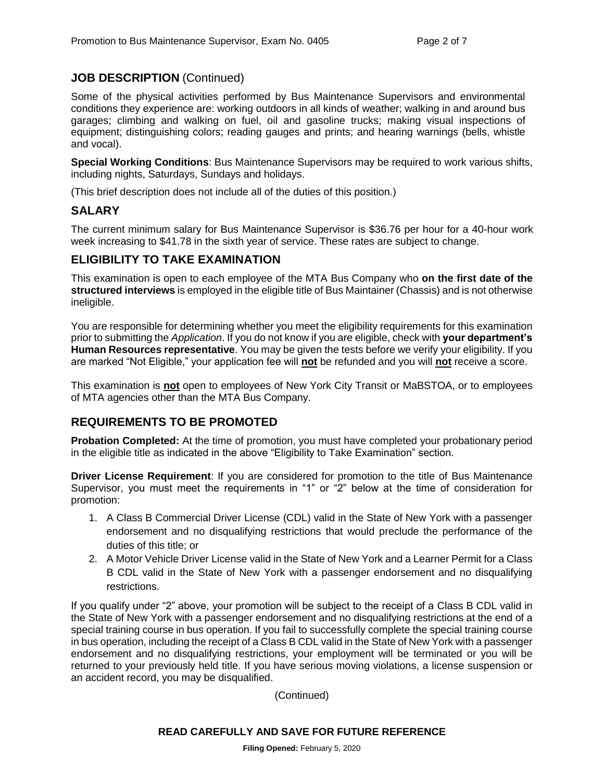#### **JOB DESCRIPTION** (Continued)

Some of the physical activities performed by Bus Maintenance Supervisors and environmental conditions they experience are: working outdoors in all kinds of weather; walking in and around bus garages; climbing and walking on fuel, oil and gasoline trucks; making visual inspections of equipment; distinguishing colors; reading gauges and prints; and hearing warnings (bells, whistle and vocal).

**Special Working Conditions**: Bus Maintenance Supervisors may be required to work various shifts, including nights, Saturdays, Sundays and holidays.

(This brief description does not include all of the duties of this position.)

#### **SALARY**

The current minimum salary for Bus Maintenance Supervisor is \$36.76 per hour for a 40-hour work week increasing to \$41.78 in the sixth year of service. These rates are subject to change.

#### **ELIGIBILITY TO TAKE EXAMINATION**

This examination is open to each employee of the MTA Bus Company who **on the first date of the structured interviews** is employed in the eligible title of Bus Maintainer (Chassis) and is not otherwise ineligible.

You are responsible for determining whether you meet the eligibility requirements for this examination prior to submitting the *Application*. If you do not know if you are eligible, check with **your department's Human Resources representative**. You may be given the tests before we verify your eligibility. If you are marked "Not Eligible," your application fee will **not** be refunded and you will **not** receive a score.

This examination is **not** open to employees of New York City Transit or MaBSTOA, or to employees of MTA agencies other than the MTA Bus Company.

#### **REQUIREMENTS TO BE PROMOTED**

**Probation Completed:** At the time of promotion, you must have completed your probationary period in the eligible title as indicated in the above "Eligibility to Take Examination" section.

**Driver License Requirement**: If you are considered for promotion to the title of Bus Maintenance Supervisor, you must meet the requirements in "1" or "2" below at the time of consideration for promotion:

- 1. A Class B Commercial Driver License (CDL) valid in the State of New York with a passenger endorsement and no disqualifying restrictions that would preclude the performance of the duties of this title; or
- 2. A Motor Vehicle Driver License valid in the State of New York and a Learner Permit for a Class B CDL valid in the State of New York with a passenger endorsement and no disqualifying restrictions.

If you qualify under "2" above, your promotion will be subject to the receipt of a Class B CDL valid in the State of New York with a passenger endorsement and no disqualifying restrictions at the end of a special training course in bus operation. If you fail to successfully complete the special training course in bus operation, including the receipt of a Class B CDL valid in the State of New York with a passenger endorsement and no disqualifying restrictions, your employment will be terminated or you will be returned to your previously held title. If you have serious moving violations, a license suspension or an accident record, you may be disqualified.

(Continued)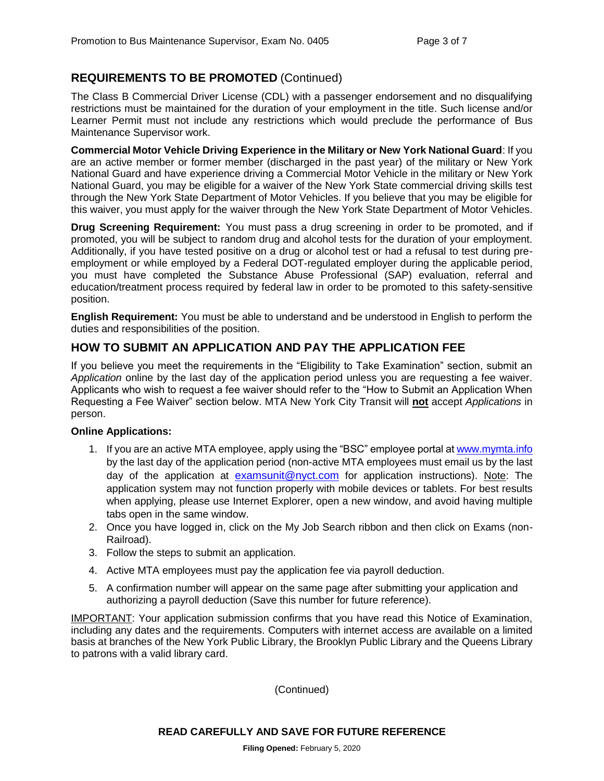### **REQUIREMENTS TO BE PROMOTED** (Continued)

The Class B Commercial Driver License (CDL) with a passenger endorsement and no disqualifying restrictions must be maintained for the duration of your employment in the title. Such license and/or Learner Permit must not include any restrictions which would preclude the performance of Bus Maintenance Supervisor work.

**Commercial Motor Vehicle Driving Experience in the Military or New York National Guard**: If you are an active member or former member (discharged in the past year) of the military or New York National Guard and have experience driving a Commercial Motor Vehicle in the military or New York National Guard, you may be eligible for a waiver of the New York State commercial driving skills test through the New York State Department of Motor Vehicles. If you believe that you may be eligible for this waiver, you must apply for the waiver through the New York State Department of Motor Vehicles.

**Drug Screening Requirement:** You must pass a drug screening in order to be promoted, and if promoted, you will be subject to random drug and alcohol tests for the duration of your employment. Additionally, if you have tested positive on a drug or alcohol test or had a refusal to test during preemployment or while employed by a Federal DOT-regulated employer during the applicable period, you must have completed the Substance Abuse Professional (SAP) evaluation, referral and education/treatment process required by federal law in order to be promoted to this safety-sensitive position.

**English Requirement:** You must be able to understand and be understood in English to perform the duties and responsibilities of the position.

#### **HOW TO SUBMIT AN APPLICATION AND PAY THE APPLICATION FEE**

If you believe you meet the requirements in the "Eligibility to Take Examination" section, submit an *Application* online by the last day of the application period unless you are requesting a fee waiver. Applicants who wish to request a fee waiver should refer to the "How to Submit an Application When Requesting a Fee Waiver" section below. MTA New York City Transit will **not** accept *Applications* in person.

#### **Online Applications:**

- 1. If you are an active MTA employee, apply using the "BSC" employee portal at [www.mymta.info](http://www.mymta.info/) by the last day of the application period (non-active MTA employees must email us by the last day of the application at [examsunit@nyct.com](mailto:examsunit@nyct.com) for application instructions). Note: The application system may not function properly with mobile devices or tablets. For best results when applying, please use Internet Explorer, open a new window, and avoid having multiple tabs open in the same window.
- 2. Once you have logged in, click on the My Job Search ribbon and then click on Exams (non-Railroad).
- 3. Follow the steps to submit an application.
- 4. Active MTA employees must pay the application fee via payroll deduction.
- 5. A confirmation number will appear on the same page after submitting your application and authorizing a payroll deduction (Save this number for future reference).

IMPORTANT: Your application submission confirms that you have read this Notice of Examination, including any dates and the requirements. Computers with internet access are available on a limited basis at branches of the New York Public Library, the Brooklyn Public Library and the Queens Library to patrons with a valid library card.

(Continued)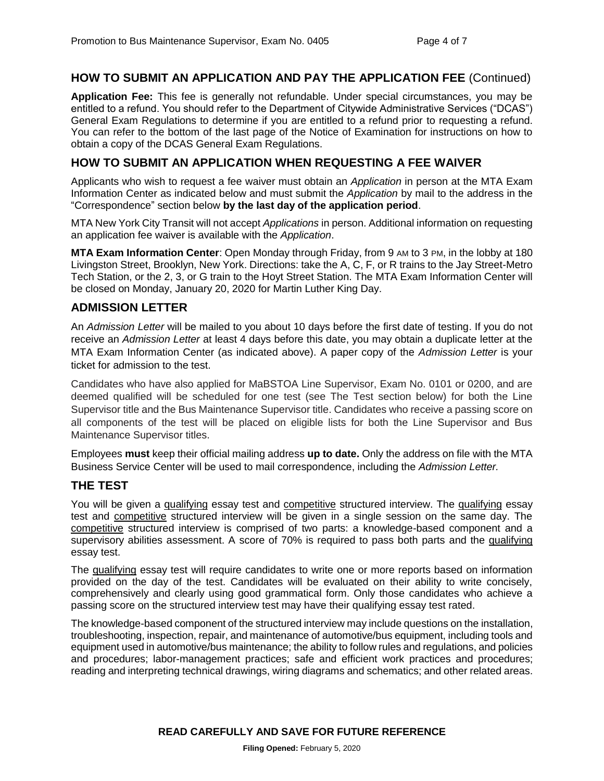#### **HOW TO SUBMIT AN APPLICATION AND PAY THE APPLICATION FEE** (Continued)

**Application Fee:** This fee is generally not refundable. Under special circumstances, you may be entitled to a refund. You should refer to the Department of Citywide Administrative Services ("DCAS") General Exam Regulations to determine if you are entitled to a refund prior to requesting a refund. You can refer to the bottom of the last page of the Notice of Examination for instructions on how to obtain a copy of the DCAS General Exam Regulations.

#### **HOW TO SUBMIT AN APPLICATION WHEN REQUESTING A FEE WAIVER**

Applicants who wish to request a fee waiver must obtain an *Application* in person at the MTA Exam Information Center as indicated below and must submit the *Application* by mail to the address in the "Correspondence" section below **by the last day of the application period**.

MTA New York City Transit will not accept *Applications* in person. Additional information on requesting an application fee waiver is available with the *Application*.

**MTA Exam Information Center**: Open Monday through Friday, from 9 AM to 3 PM, in the lobby at 180 Livingston Street, Brooklyn, New York. Directions: take the A, C, F, or R trains to the Jay Street-Metro Tech Station, or the 2, 3, or G train to the Hoyt Street Station. The MTA Exam Information Center will be closed on Monday, January 20, 2020 for Martin Luther King Day.

#### **ADMISSION LETTER**

An *Admission Letter* will be mailed to you about 10 days before the first date of testing. If you do not receive an *Admission Letter* at least 4 days before this date, you may obtain a duplicate letter at the MTA Exam Information Center (as indicated above). A paper copy of the *Admission Letter* is your ticket for admission to the test.

Candidates who have also applied for MaBSTOA Line Supervisor, Exam No. 0101 or 0200, and are deemed qualified will be scheduled for one test (see The Test section below) for both the Line Supervisor title and the Bus Maintenance Supervisor title. Candidates who receive a passing score on all components of the test will be placed on eligible lists for both the Line Supervisor and Bus Maintenance Supervisor titles.

Employees **must** keep their official mailing address **up to date.** Only the address on file with the MTA Business Service Center will be used to mail correspondence, including the *Admission Letter.*

#### **THE TEST**

You will be given a qualifying essay test and competitive structured interview. The qualifying essay test and competitive structured interview will be given in a single session on the same day. The competitive structured interview is comprised of two parts: a knowledge-based component and a supervisory abilities assessment. A score of 70% is required to pass both parts and the qualifying essay test.

The qualifying essay test will require candidates to write one or more reports based on information provided on the day of the test. Candidates will be evaluated on their ability to write concisely, comprehensively and clearly using good grammatical form. Only those candidates who achieve a passing score on the structured interview test may have their qualifying essay test rated.

The knowledge-based component of the structured interview may include questions on the installation, troubleshooting, inspection, repair, and maintenance of automotive/bus equipment, including tools and equipment used in automotive/bus maintenance; the ability to follow rules and regulations, and policies and procedures; labor-management practices; safe and efficient work practices and procedures; reading and interpreting technical drawings, wiring diagrams and schematics; and other related areas.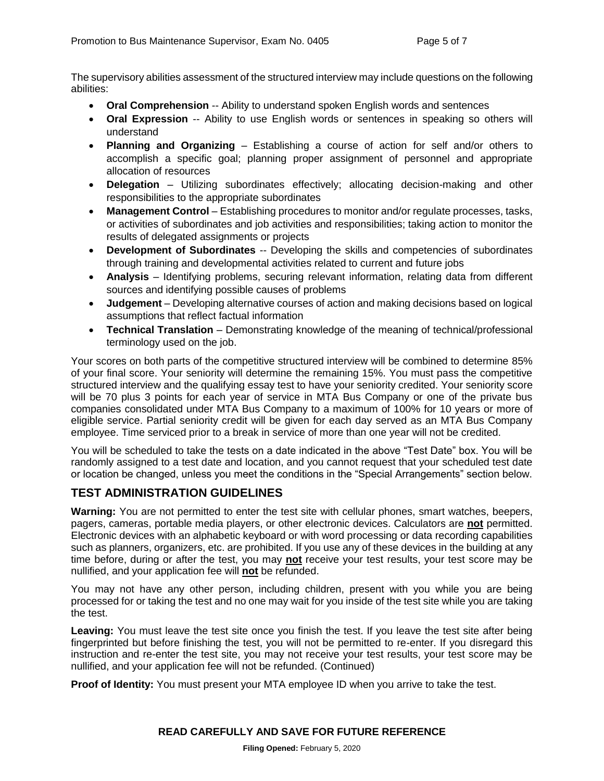The supervisory abilities assessment of the structured interview may include questions on the following abilities:

- **Oral Comprehension** -- Ability to understand spoken English words and sentences
- **Oral Expression** -- Ability to use English words or sentences in speaking so others will understand
- **Planning and Organizing** Establishing a course of action for self and/or others to accomplish a specific goal; planning proper assignment of personnel and appropriate allocation of resources
- **Delegation** Utilizing subordinates effectively; allocating decision-making and other responsibilities to the appropriate subordinates
- **Management Control** Establishing procedures to monitor and/or regulate processes, tasks, or activities of subordinates and job activities and responsibilities; taking action to monitor the results of delegated assignments or projects
- **Development of Subordinates** -- Developing the skills and competencies of subordinates through training and developmental activities related to current and future jobs
- **Analysis** Identifying problems, securing relevant information, relating data from different sources and identifying possible causes of problems
- **Judgement**  Developing alternative courses of action and making decisions based on logical assumptions that reflect factual information
- **Technical Translation** Demonstrating knowledge of the meaning of technical/professional terminology used on the job.

Your scores on both parts of the competitive structured interview will be combined to determine 85% of your final score. Your seniority will determine the remaining 15%. You must pass the competitive structured interview and the qualifying essay test to have your seniority credited. Your seniority score will be 70 plus 3 points for each year of service in MTA Bus Company or one of the private bus companies consolidated under MTA Bus Company to a maximum of 100% for 10 years or more of eligible service. Partial seniority credit will be given for each day served as an MTA Bus Company employee. Time serviced prior to a break in service of more than one year will not be credited.

You will be scheduled to take the tests on a date indicated in the above "Test Date" box. You will be randomly assigned to a test date and location, and you cannot request that your scheduled test date or location be changed, unless you meet the conditions in the "Special Arrangements" section below.

## **TEST ADMINISTRATION GUIDELINES**

**Warning:** You are not permitted to enter the test site with cellular phones, smart watches, beepers, pagers, cameras, portable media players, or other electronic devices. Calculators are **not** permitted. Electronic devices with an alphabetic keyboard or with word processing or data recording capabilities such as planners, organizers, etc. are prohibited. If you use any of these devices in the building at any time before, during or after the test, you may **not** receive your test results, your test score may be nullified, and your application fee will **not** be refunded.

You may not have any other person, including children, present with you while you are being processed for or taking the test and no one may wait for you inside of the test site while you are taking the test.

Leaving: You must leave the test site once you finish the test. If you leave the test site after being fingerprinted but before finishing the test, you will not be permitted to re-enter. If you disregard this instruction and re-enter the test site, you may not receive your test results, your test score may be nullified, and your application fee will not be refunded. (Continued)

**Proof of Identity:** You must present your MTA employee ID when you arrive to take the test.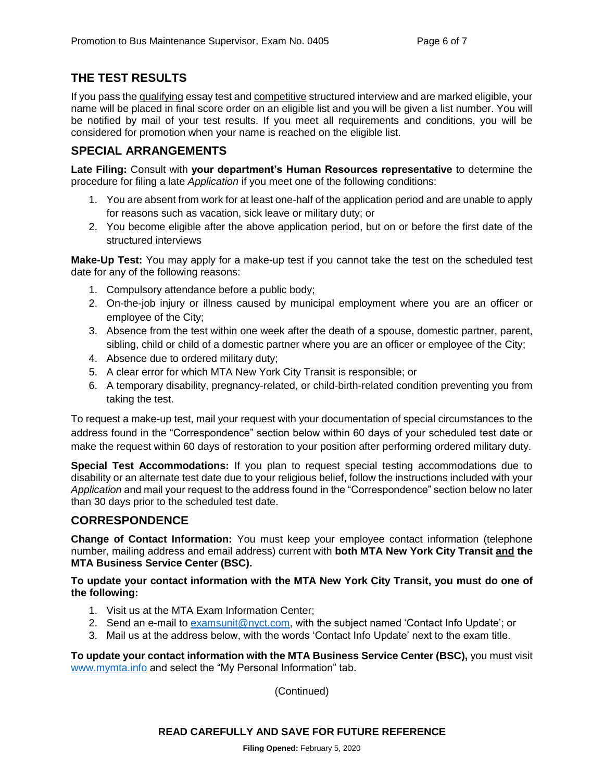#### **THE TEST RESULTS**

If you pass the qualifying essay test and competitive structured interview and are marked eligible, your name will be placed in final score order on an eligible list and you will be given a list number. You will be notified by mail of your test results. If you meet all requirements and conditions, you will be considered for promotion when your name is reached on the eligible list.

#### **SPECIAL ARRANGEMENTS**

**Late Filing:** Consult with **your department's Human Resources representative** to determine the procedure for filing a late *Application* if you meet one of the following conditions:

- 1. You are absent from work for at least one-half of the application period and are unable to apply for reasons such as vacation, sick leave or military duty; or
- 2. You become eligible after the above application period, but on or before the first date of the structured interviews

**Make-Up Test:** You may apply for a make-up test if you cannot take the test on the scheduled test date for any of the following reasons:

- 1. Compulsory attendance before a public body;
- 2. On-the-job injury or illness caused by municipal employment where you are an officer or employee of the City;
- 3. Absence from the test within one week after the death of a spouse, domestic partner, parent, sibling, child or child of a domestic partner where you are an officer or employee of the City;
- 4. Absence due to ordered military duty;
- 5. A clear error for which MTA New York City Transit is responsible; or
- 6. A temporary disability, pregnancy-related, or child-birth-related condition preventing you from taking the test.

To request a make-up test, mail your request with your documentation of special circumstances to the address found in the "Correspondence" section below within 60 days of your scheduled test date or make the request within 60 days of restoration to your position after performing ordered military duty.

**Special Test Accommodations:** If you plan to request special testing accommodations due to disability or an alternate test date due to your religious belief, follow the instructions included with your *Application* and mail your request to the address found in the "Correspondence" section below no later than 30 days prior to the scheduled test date.

#### **CORRESPONDENCE**

**Change of Contact Information:** You must keep your employee contact information (telephone number, mailing address and email address) current with **both MTA New York City Transit and the MTA Business Service Center (BSC).**

**To update your contact information with the MTA New York City Transit, you must do one of the following:**

- 1. Visit us at the MTA Exam Information Center;
- 2. Send an e-mail to [examsunit@nyct.com,](mailto:examsunit@nyct.com) with the subject named 'Contact Info Update'; or
- 3. Mail us at the address below, with the words 'Contact Info Update' next to the exam title.

**To update your contact information with the MTA Business Service Center (BSC),** you must visit [www.mymta.info](http://www.mymta.info/) and select the "My Personal Information" tab.

(Continued)